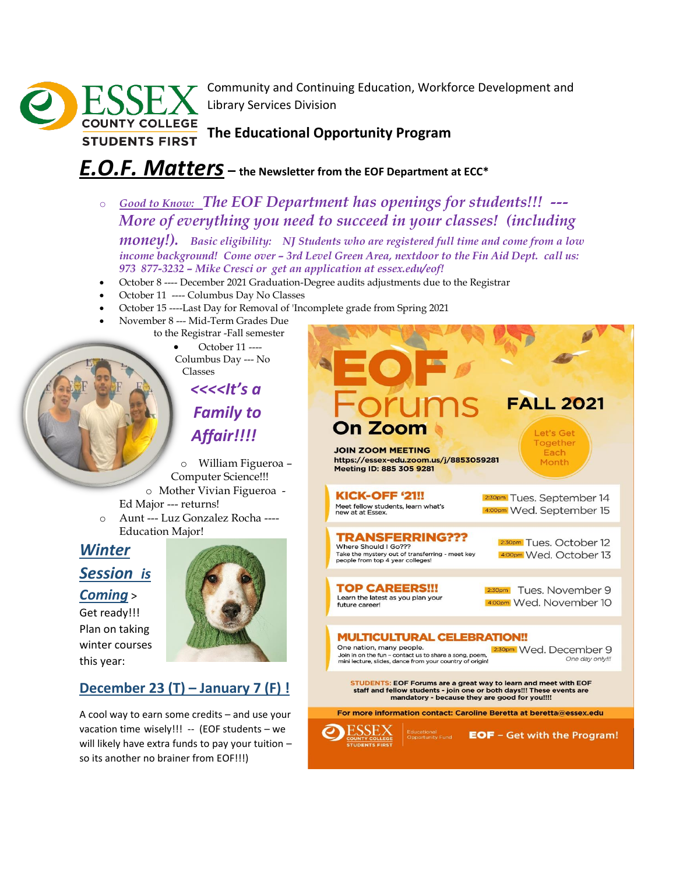

Community and Continuing Education, Workforce Development and Library Services Division

**The Educational Opportunity Program**

## *E.O.F. Matters* **– the Newsletter from the EOF Department at ECC\***

o *Good to Know: The EOF Department has openings for students!!! --- More of everything you need to succeed in your classes! (including* 

*money!). Basic eligibility: NJ Students who are registered full time and come from a low income background! Come over – 3rd Level Green Area, nextdoor to the Fin Aid Dept. call us: 973 877-3232 – Mike Cresci or get an application at essex.edu/eof!*

- October 8 ---- December 2021 Graduation-Degree audits adjustments due to the Registrar
- October 11 ---- Columbus Day No Classes
- October 15 ----Last Day for Removal of 'Incomplete grade from Spring 2021
	- November 8 --- Mid-Term Grades Due to the Registrar -Fall semester

• October 11 ---- Columbus Day --- No Classes

*<<<<It's a Family to* 

*Affair!!!!*

o William Figueroa – Computer Science!!! o Mother Vivian Figueroa -

- Ed Major --- returns!
- o Aunt --- Luz Gonzalez Rocha ---- Education Major!

# *Winter Session is*

#### *Coming* >

Get ready!!! Plan on taking winter courses this year:

## **December 23 (T) – January 7 (F) !**

A cool way to earn some credits – and use your vacation time wisely!!! -- (EOF students - we will likely have extra funds to pay your tuition – so its another no brainer from EOF!!!)